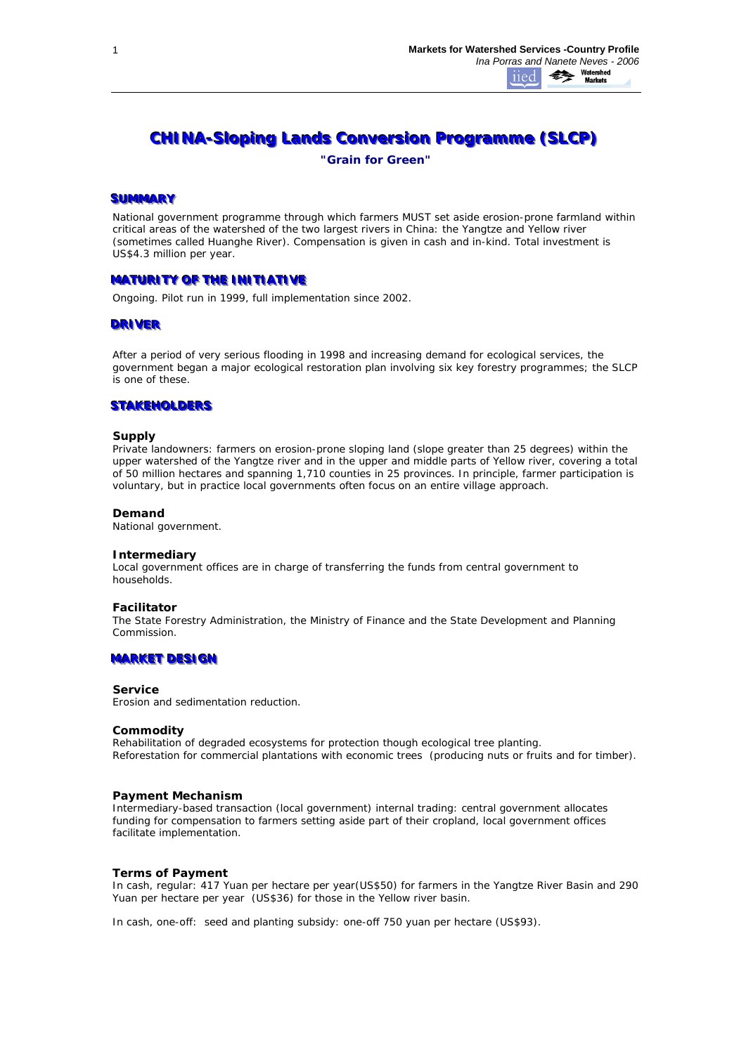# **CHINA-Sloping Lands Conversion Programme (SLCP)**

*"Grain for Green"*

## **SUMMARY**

National government programme through which farmers MUST set aside erosion-prone farmland within critical areas of the watershed of the two largest rivers in China: the Yangtze and Yellow river (sometimes called Huanghe River). Compensation is given in cash and in-kind. Total investment is US\$4.3 million per year.

# **MATURITY OF THE INITIATIVE**

Ongoing. Pilot run in 1999, full implementation since 2002.

## **DRIVER**

After a period of very serious flooding in 1998 and increasing demand for ecological services, the government began a major ecological restoration plan involving six key forestry programmes; the SLCP is one of these.

# **STAKEHOLDERS**

## **Supply**

*Private landowners:* farmers on erosion-prone sloping land (slope greater than 25 degrees) within the upper watershed of the Yangtze river and in the upper and middle parts of Yellow river, covering a total of 50 million hectares and spanning 1,710 counties in 25 provinces. In principle, farmer participation is voluntary, but in practice local governments often focus on an *entire village* approach.

#### **Demand**

National government.

#### **Intermediary**

Local government offices are in charge of transferring the funds from central government to households.

## **Facilitator**

The State Forestry Administration, the Ministry of Finance and the State Development and Planning Commission.

## **MARKET DESIGN**

#### **Service**

Erosion and sedimentation reduction.

#### **Commodity**

*Rehabilitation of degraded ecosystems for protection* though ecological tree planting. *Reforestation for commercial plantations* with economic trees (producing nuts or fruits and for timber).

#### **Payment Mechanism**

*Intermediary-based transaction (local government) internal trading:* central government allocates funding for compensation to farmers setting aside part of their cropland, local government offices facilitate implementation.

# **Terms of Payment**

*In cash, regular*: 417 Yuan per hectare per year(US\$50) for farmers in the Yangtze River Basin and 290 Yuan per hectare per year (US\$36) for those in the Yellow river basin.

*In cash, one-off*: seed and planting subsidy: one-off 750 yuan per hectare (US\$93).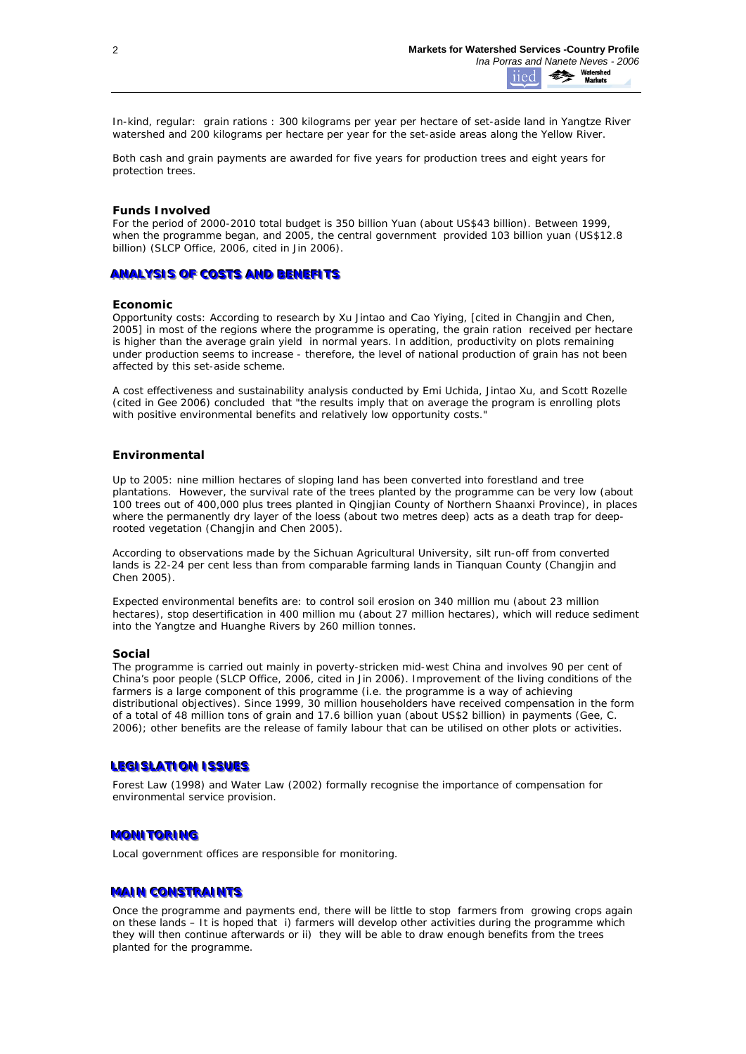*In-kind, regular*: grain rations : 300 kilograms per year per hectare of set-aside land in Yangtze River watershed and 200 kilograms per hectare per year for the set-aside areas along the Yellow River.

Both cash and grain payments are awarded for five years for production trees and eight years for protection trees.

## **Funds Involved**

For the period of 2000-2010 total budget is 350 billion Yuan (about US\$43 billion). Between 1999, when the programme began, and 2005, the central government provided 103 billion yuan (US\$12.8 billion) (SLCP Office, 2006, cited in Jin 2006).

## **ANALYSIS OF COSTS AND BENEFITS**

#### **Economic**

*Opportunity costs*: According to research by Xu Jintao and Cao Yiying, [cited in Changjin and Chen, 2005] in most of the regions where the programme is operating, the grain ration received per hectare is higher than the average grain yield in normal years. In addition, productivity on plots remaining under production seems to increase - therefore, the level of national production of grain has not been affected by this set-aside scheme.

A cost effectiveness and sustainability analysis conducted by Emi Uchida, Jintao Xu, and Scott Rozelle (cited in Gee 2006) concluded that "the results imply that on average the program is enrolling plots with positive environmental benefits and relatively low opportunity costs."

## **Environmental**

Up to 2005: nine million hectares of sloping land has been converted into forestland and tree plantations. However, the survival rate of the trees planted by the programme can be very low (about 100 trees out of 400,000 plus trees planted in Qingjian County of Northern Shaanxi Province), in places where the permanently dry layer of the loess (about two metres deep) acts as a death trap for deeprooted vegetation (Changjin and Chen 2005).

According to observations made by the Sichuan Agricultural University, silt run-off from converted lands is 22-24 per cent less than from comparable farming lands in Tianquan County (Changjin and Chen 2005).

Expected environmental benefits are: to control soil erosion on 340 million mu (about 23 million hectares), stop desertification in 400 million mu (about 27 million hectares), which will reduce sediment into the Yangtze and Huanghe Rivers by 260 million tonnes.

#### **Social**

The programme is carried out mainly in poverty-stricken mid-west China and involves 90 per cent of China's poor people (SLCP Office, 2006, cited in Jin 2006). Improvement of the living conditions of the farmers is a large component of this programme (i.e. the programme is a way of achieving distributional objectives). Since 1999, 30 million householders have received compensation in the form of a total of 48 million tons of grain and 17.6 billion yuan (about US\$2 billion) in payments (Gee, C. 2006); other benefits are the release of family labour that can be utilised on other plots or activities.

#### LEGISLATION ISSUES

Forest Law (1998) and Water Law (2002) formally recognise the importance of compensation for environmental service provision.

#### **MONITORING**

Local government offices are responsible for monitoring.

## **MAIN CONSTRAINTS**

Once the programme and payments end, there will be little to stop farmers from growing crops again on these lands – It is hoped that i) farmers will develop other activities during the programme which they will then continue afterwards or ii) they will be able to draw enough benefits from the trees planted for the programme.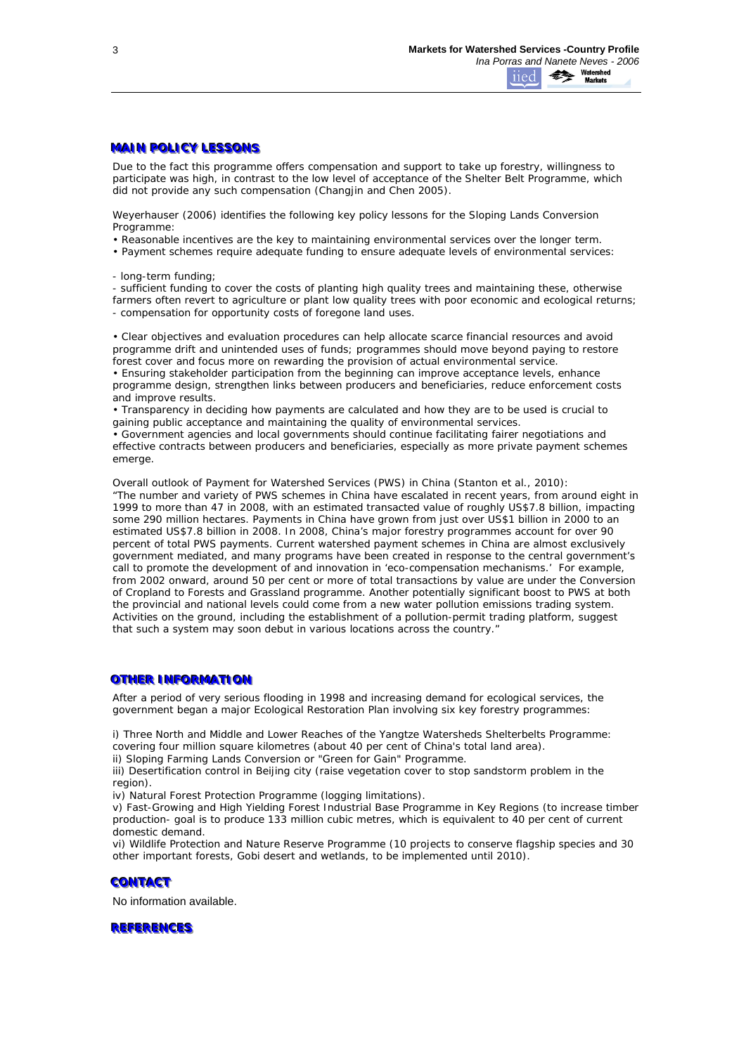# **MAIN POLICY LESSONS**

Due to the fact this programme offers compensation and support to take up forestry, willingness to participate was high, in contrast to the low level of acceptance of the Shelter Belt Programme, which did not provide any such compensation (Changjin and Chen 2005).

Weyerhauser (2006) identifies the following key policy lessons for the Sloping Lands Conversion Programme:

• Reasonable incentives are the key to maintaining environmental services over the longer term.

• Payment schemes require adequate funding to ensure adequate levels of environmental services:

- long-term funding;

- sufficient funding to cover the costs of planting high quality trees and maintaining these, otherwise farmers often revert to agriculture or plant low quality trees with poor economic and ecological returns; - compensation for opportunity costs of foregone land uses.

• Clear objectives and evaluation procedures can help allocate scarce financial resources and avoid programme drift and unintended uses of funds; programmes should move beyond paying to restore forest cover and focus more on rewarding the provision of actual environmental service. • Ensuring stakeholder participation from the beginning can improve acceptance levels, enhance

programme design, strengthen links between producers and beneficiaries, reduce enforcement costs and improve results.

• Transparency in deciding how payments are calculated and how they are to be used is crucial to gaining public acceptance and maintaining the quality of environmental services.

• Government agencies and local governments should continue facilitating fairer negotiations and effective contracts between producers and beneficiaries, especially as more private payment schemes emerge.

Overall outlook of Payment for Watershed Services (PWS) in China (Stanton et al., 2010): "The number and variety of PWS schemes in China have escalated in recent years, from around eight in 1999 to more than 47 in 2008, with an estimated transacted value of roughly US\$7.8 billion, impacting some 290 million hectares. Payments in China have grown from just over US\$1 billion in 2000 to an estimated US\$7.8 billion in 2008. In 2008, China's major forestry programmes account for over 90 percent of total PWS payments. Current watershed payment schemes in China are almost exclusively government mediated, and many programs have been created in response to the central government's call to promote the development of and innovation in 'eco-compensation mechanisms.' For example, from 2002 onward, around 50 per cent or more of total transactions by value are under the Conversion of Cropland to Forests and Grassland programme. Another potentially significant boost to PWS at both the provincial and national levels could come from a new water pollution emissions trading system. Activities on the ground, including the establishment of a pollution-permit trading platform, suggest that such a system may soon debut in various locations across the country."

## **OTHER INFORMATION**

After a period of very serious flooding in 1998 and increasing demand for ecological services, the government began a major *Ecological Restoration Plan* involving six key forestry programmes:

i) *Three North and Middle and Lower Reaches of the Yangtze Watersheds Shelterbelts Programme*: covering four million square kilometres (about 40 per cent of China's total land area).

ii) *Sloping Farming Lands Conversion* or "Green for Gain" Programme.

iii) *Desertification control in Beijing city* (raise vegetation cover to stop sandstorm problem in the region).

iv) *Natural Forest Protection Programme* (logging limitations).

v) *Fast-Growing and High Yielding Forest Industrial Base Programme in Key Regions* (to increase timber production- goal is to produce 133 million cubic metres, which is equivalent to 40 per cent of current domestic demand.

vi*) Wildlife Protection and Nature Reserve Programme* (10 projects to conserve flagship species and 30 other important forests, Gobi desert and wetlands, to be implemented until 2010).

## **CONTACT**

No information available.

## **REFERENCES**